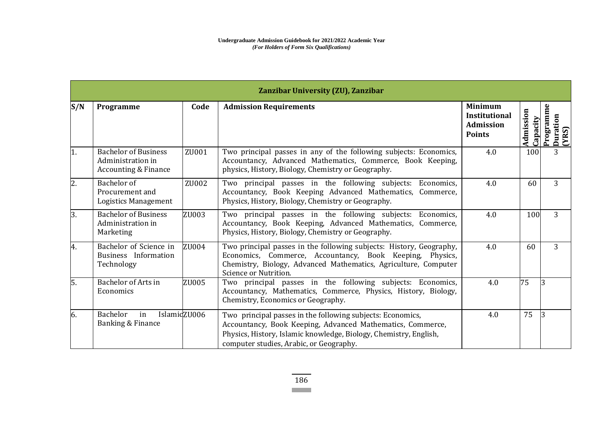| Zanzibar University (ZU), Zanzibar |                                                                                     |       |                                                                                                                                                                                                                                          |                                                                             |                       |                               |
|------------------------------------|-------------------------------------------------------------------------------------|-------|------------------------------------------------------------------------------------------------------------------------------------------------------------------------------------------------------------------------------------------|-----------------------------------------------------------------------------|-----------------------|-------------------------------|
| S/N                                | Programme                                                                           | Code  | <b>Admission Requirements</b>                                                                                                                                                                                                            | <b>Minimum</b><br><b>Institutional</b><br><b>Admission</b><br><b>Points</b> | Admission<br>Capacity | Programm<br>Duration<br>(YRS) |
| 1.                                 | <b>Bachelor of Business</b><br>Administration in<br><b>Accounting &amp; Finance</b> | ZU001 | Two principal passes in any of the following subjects: Economics,<br>Accountancy, Advanced Mathematics, Commerce, Book Keeping,<br>physics, History, Biology, Chemistry or Geography.                                                    | 4.0                                                                         | 100                   | 3                             |
| 2.                                 | Bachelor of<br>Procurement and<br><b>Logistics Management</b>                       | ZU002 | Two principal passes in the following subjects: Economics,<br>Accountancy, Book Keeping Advanced Mathematics, Commerce,<br>Physics, History, Biology, Chemistry or Geography.                                                            | 4.0                                                                         | 60                    | 3                             |
| 3.                                 | <b>Bachelor of Business</b><br>Administration in<br>Marketing                       | ZU003 | Two principal passes in the following subjects: Economics,<br>Accountancy, Book Keeping, Advanced Mathematics, Commerce,<br>Physics, History, Biology, Chemistry or Geography.                                                           | 4.0                                                                         | 100                   | 3                             |
| 4.                                 | Bachelor of Science in<br>Business Information<br>Technology                        | ZU004 | Two principal passes in the following subjects: History, Geography,<br>Economics, Commerce, Accountancy, Book Keeping, Physics,<br>Chemistry, Biology, Advanced Mathematics, Agriculture, Computer<br>Science or Nutrition.              | 4.0                                                                         | 60                    | 3                             |
| 5.                                 | <b>Bachelor of Arts in</b><br>Economics                                             | ZU005 | Two principal passes in the following subjects: Economics,<br>Accountancy, Mathematics, Commerce, Physics, History, Biology,<br>Chemistry, Economics or Geography.                                                                       | 4.0                                                                         | 75                    |                               |
| 6.                                 | <b>Bachelor</b><br>IslamidZU006<br>in<br>Banking & Finance                          |       | Two principal passes in the following subjects: Economics,<br>Accountancy, Book Keeping, Advanced Mathematics, Commerce,<br>Physics, History, Islamic knowledge, Biology, Chemistry, English,<br>computer studies, Arabic, or Geography. | 4.0                                                                         | 75                    |                               |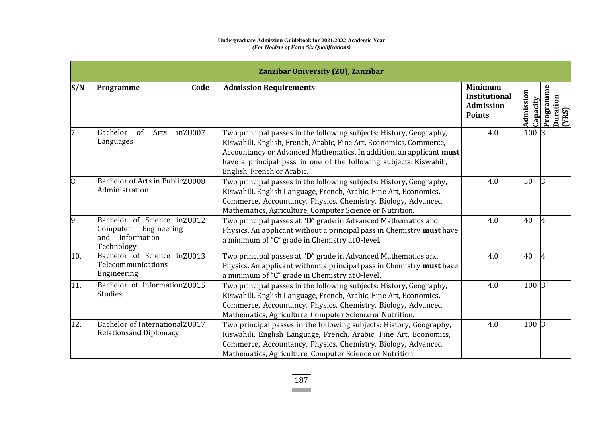## **Undergraduate Admission Guidebook for 2021/2022 Academic Year** *(For Holders of Form Six Qualifications)*

| Zanzibar University (ZU), Zanzibar |                                                                                          |                                                                                                                                                                                                                                                                                                                      |                                                                      |                       |                                |  |  |
|------------------------------------|------------------------------------------------------------------------------------------|----------------------------------------------------------------------------------------------------------------------------------------------------------------------------------------------------------------------------------------------------------------------------------------------------------------------|----------------------------------------------------------------------|-----------------------|--------------------------------|--|--|
| S/N                                | Code<br>Programme                                                                        | <b>Admission Requirements</b>                                                                                                                                                                                                                                                                                        | <b>Minimum</b><br><b>Institutional</b><br>Admission<br><b>Points</b> | Admission<br>Capacity | Programme<br>Duration<br>(YRS) |  |  |
| 7.                                 | inZU007<br>Bachelor<br>of<br>Arts<br>Languages                                           | Two principal passes in the following subjects: History, Geography,<br>Kiswahili, English, French, Arabic, Fine Art, Economics, Commerce,<br>Accountancy or Advanced Mathematics. In addition, an applicant must<br>have a principal pass in one of the following subjects: Kiswahili,<br>English, French or Arabic. | 4.0                                                                  | 100 3                 |                                |  |  |
| 8.                                 | Bachelor of Arts in PublidZU008<br>Administration                                        | Two principal passes in the following subjects: History, Geography,<br>Kiswahili, English Language, French, Arabic, Fine Art, Economics,<br>Commerce, Accountancy, Physics, Chemistry, Biology, Advanced<br>Mathematics, Agriculture, Computer Science or Nutrition.                                                 | 4.0                                                                  | 50                    | 13                             |  |  |
| 9.                                 | Bachelor of Science in ZU012<br>Computer<br>Engineering<br>and Information<br>Technology | Two principal passes at "D" grade in Advanced Mathematics and<br>Physics. An applicant without a principal pass in Chemistry must have<br>a minimum of "C" grade in Chemistry at O-level.                                                                                                                            | 4.0                                                                  | 40                    |                                |  |  |
| 10.                                | Bachelor of Science in ZU013<br>Telecommunications<br>Engineering                        | Two principal passes at "D" grade in Advanced Mathematics and<br>Physics. An applicant without a principal pass in Chemistry must have<br>a minimum of "C" grade in Chemistry at O-level.                                                                                                                            | 4.0                                                                  | 40                    |                                |  |  |
| 11.                                | Bachelor of InformationZU015<br><b>Studies</b>                                           | Two principal passes in the following subjects: History, Geography,<br>Kiswahili, English Language, French, Arabic, Fine Art, Economics,<br>Commerce, Accountancy, Physics, Chemistry, Biology, Advanced<br>Mathematics, Agriculture, Computer Science or Nutrition.                                                 | 4.0                                                                  | 100 3                 |                                |  |  |
| 12.                                | Bachelor of InternationalZU017<br><b>Relationsand Diplomacy</b>                          | Two principal passes in the following subjects: History, Geography,<br>Kiswahili, English Language, French, Arabic, Fine Art, Economics,<br>Commerce, Accountancy, Physics, Chemistry, Biology, Advanced<br>Mathematics, Agriculture, Computer Science or Nutrition.                                                 | 4.0                                                                  | 100 3                 |                                |  |  |